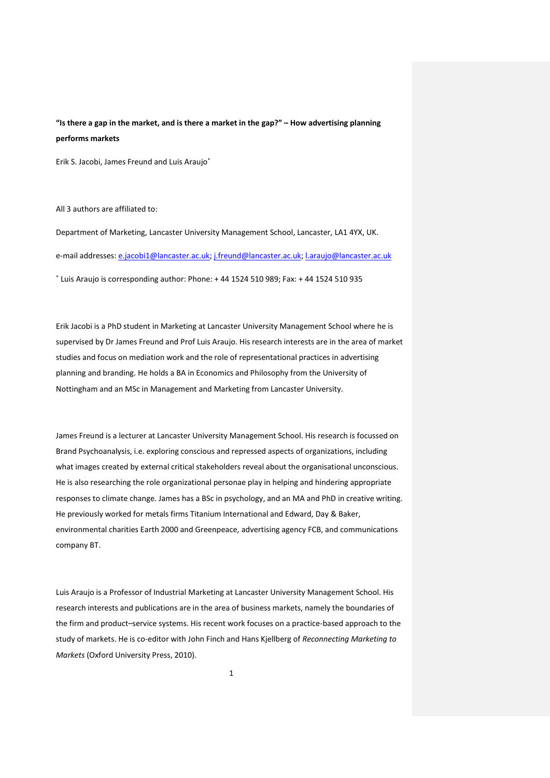### **"Is there a gap in the market, and is there a market in the gap?" – How advertising planning performs markets**

Erik S. Jacobi, James Freund and Luis Araujo<sup>\*</sup>

#### All 3 authors are affiliated to:

Department of Marketing, Lancaster University Management School, Lancaster, LA1 4YX, UK. e-mail addresses[: e.jacobi1@lancaster.ac.uk;](mailto:e.jacobi1@lancaster.ac.uk) [j.freund@lancaster.ac.uk;](mailto:j.freund@lancaster.ac.uk) [l.araujo@lancaster.ac.uk](mailto:l.araujo@lancaster.ac.uk)  $*$  Luis Araujo is corresponding author: Phone:  $+$  44 1524 510 989; Fax:  $+$  44 1524 510 935

Erik Jacobi is a PhD student in Marketing at Lancaster University Management School where he is supervised by Dr James Freund and Prof Luis Araujo. His research interests are in the area of market studies and focus on mediation work and the role of representational practices in advertising planning and branding. He holds a BA in Economics and Philosophy from the University of Nottingham and an MSc in Management and Marketing from Lancaster University.

James Freund is a lecturer at Lancaster University Management School. His research is focussed on Brand Psychoanalysis, i.e. exploring conscious and repressed aspects of organizations, including what images created by external critical stakeholders reveal about the organisational unconscious. He is also researching the role organizational personae play in helping and hindering appropriate responses to climate change. James has a BSc in psychology, and an MA and PhD in creative writing. He previously worked for metals firms Titanium International and Edward, Day & Baker, environmental charities Earth 2000 and Greenpeace, advertising agency FCB, and communications company BT.

Luis Araujo is a Professor of Industrial Marketing at Lancaster University Management School. His research interests and publications are in the area of business markets, namely the boundaries of the firm and product–service systems. His recent work focuses on a practice-based approach to the study of markets. He is co-editor with John Finch and Hans Kjellberg of *Reconnecting Marketing to Markets* (Oxford University Press, 2010).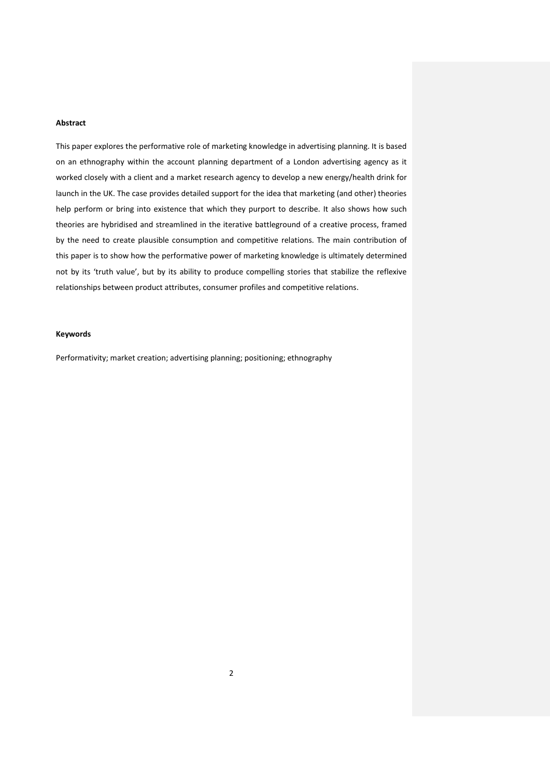#### **Abstract**

This paper explores the performative role of marketing knowledge in advertising planning. It is based on an ethnography within the account planning department of a London advertising agency as it worked closely with a client and a market research agency to develop a new energy/health drink for launch in the UK. The case provides detailed support for the idea that marketing (and other) theories help perform or bring into existence that which they purport to describe. It also shows how such theories are hybridised and streamlined in the iterative battleground of a creative process, framed by the need to create plausible consumption and competitive relations. The main contribution of this paper is to show how the performative power of marketing knowledge is ultimately determined not by its 'truth value', but by its ability to produce compelling stories that stabilize the reflexive relationships between product attributes, consumer profiles and competitive relations.

#### **Keywords**

Performativity; market creation; advertising planning; positioning; ethnography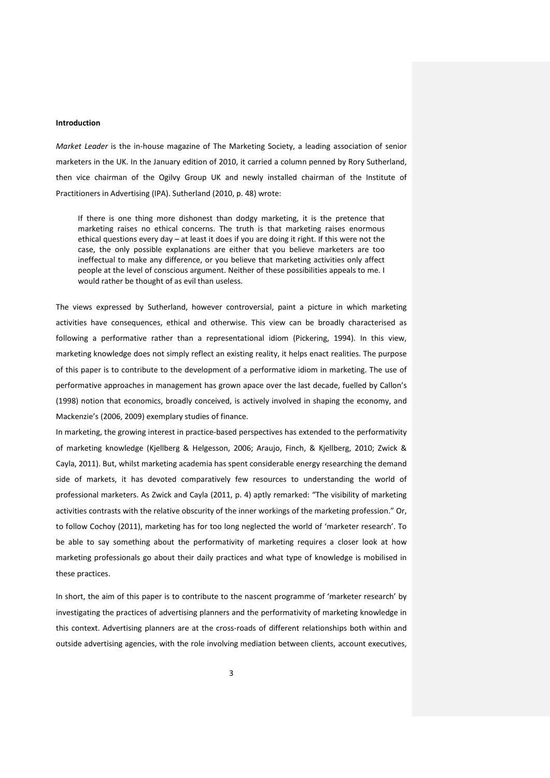#### **Introduction**

*Market Leader* is the in-house magazine of The Marketing Society, a leading association of senior marketers in the UK. In the January edition of 2010, it carried a column penned by Rory Sutherland, then vice chairman of the Ogilvy Group UK and newly installed chairman of the Institute of Practitioners in Advertising (IPA). Sutherland (2010, p. 48) wrote:

If there is one thing more dishonest than dodgy marketing, it is the pretence that marketing raises no ethical concerns. The truth is that marketing raises enormous ethical questions every day – at least it does if you are doing it right. If this were not the case, the only possible explanations are either that you believe marketers are too ineffectual to make any difference, or you believe that marketing activities only affect people at the level of conscious argument. Neither of these possibilities appeals to me. I would rather be thought of as evil than useless.

The views expressed by Sutherland, however controversial, paint a picture in which marketing activities have consequences, ethical and otherwise. This view can be broadly characterised as following a performative rather than a representational idiom (Pickering, 1994). In this view, marketing knowledge does not simply reflect an existing reality, it helps enact realities. The purpose of this paper is to contribute to the development of a performative idiom in marketing. The use of performative approaches in management has grown apace over the last decade, fuelled by Callon's (1998) notion that economics, broadly conceived, is actively involved in shaping the economy, and Mackenzie's (2006, 2009) exemplary studies of finance.

In marketing, the growing interest in practice-based perspectives has extended to the performativity of marketing knowledge (Kjellberg & Helgesson, 2006; Araujo, Finch, & Kjellberg, 2010; Zwick & Cayla, 2011). But, whilst marketing academia has spent considerable energy researching the demand side of markets, it has devoted comparatively few resources to understanding the world of professional marketers. As Zwick and Cayla (2011, p. 4) aptly remarked: "The visibility of marketing activities contrasts with the relative obscurity of the inner workings of the marketing profession." Or, to follow Cochoy (2011), marketing has for too long neglected the world of 'marketer research'. To be able to say something about the performativity of marketing requires a closer look at how marketing professionals go about their daily practices and what type of knowledge is mobilised in these practices.

In short, the aim of this paper is to contribute to the nascent programme of 'marketer research' by investigating the practices of advertising planners and the performativity of marketing knowledge in this context. Advertising planners are at the cross-roads of different relationships both within and outside advertising agencies, with the role involving mediation between clients, account executives,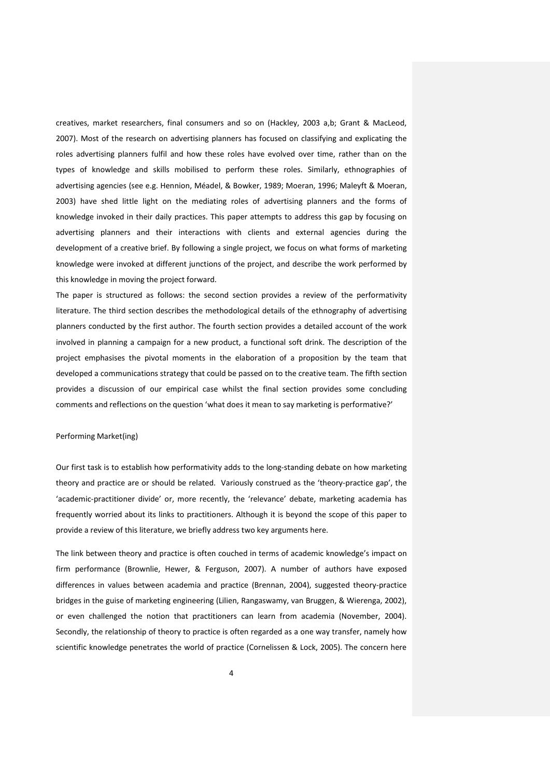creatives, market researchers, final consumers and so on (Hackley, 2003 a,b; Grant & MacLeod, 2007). Most of the research on advertising planners has focused on classifying and explicating the roles advertising planners fulfil and how these roles have evolved over time, rather than on the types of knowledge and skills mobilised to perform these roles. Similarly, ethnographies of advertising agencies (see e.g. Hennion, Méadel, & Bowker, 1989; Moeran, 1996; Maleyft & Moeran, 2003) have shed little light on the mediating roles of advertising planners and the forms of knowledge invoked in their daily practices. This paper attempts to address this gap by focusing on advertising planners and their interactions with clients and external agencies during the development of a creative brief. By following a single project, we focus on what forms of marketing knowledge were invoked at different junctions of the project, and describe the work performed by this knowledge in moving the project forward.

The paper is structured as follows: the second section provides a review of the performativity literature. The third section describes the methodological details of the ethnography of advertising planners conducted by the first author. The fourth section provides a detailed account of the work involved in planning a campaign for a new product, a functional soft drink. The description of the project emphasises the pivotal moments in the elaboration of a proposition by the team that developed a communications strategy that could be passed on to the creative team. The fifth section provides a discussion of our empirical case whilst the final section provides some concluding comments and reflections on the question 'what does it mean to say marketing is performative?'

#### Performing Market(ing)

Our first task is to establish how performativity adds to the long-standing debate on how marketing theory and practice are or should be related. Variously construed as the 'theory-practice gap', the 'academic-practitioner divide' or, more recently, the 'relevance' debate, marketing academia has frequently worried about its links to practitioners. Although it is beyond the scope of this paper to provide a review of this literature, we briefly address two key arguments here.

The link between theory and practice is often couched in terms of academic knowledge's impact on firm performance (Brownlie, Hewer, & Ferguson, 2007). A number of authors have exposed differences in values between academia and practice (Brennan, 2004), suggested theory-practice bridges in the guise of marketing engineering (Lilien, Rangaswamy, van Bruggen, & Wierenga, 2002), or even challenged the notion that practitioners can learn from academia (November, 2004). Secondly, the relationship of theory to practice is often regarded as a one way transfer, namely how scientific knowledge penetrates the world of practice (Cornelissen & Lock, 2005). The concern here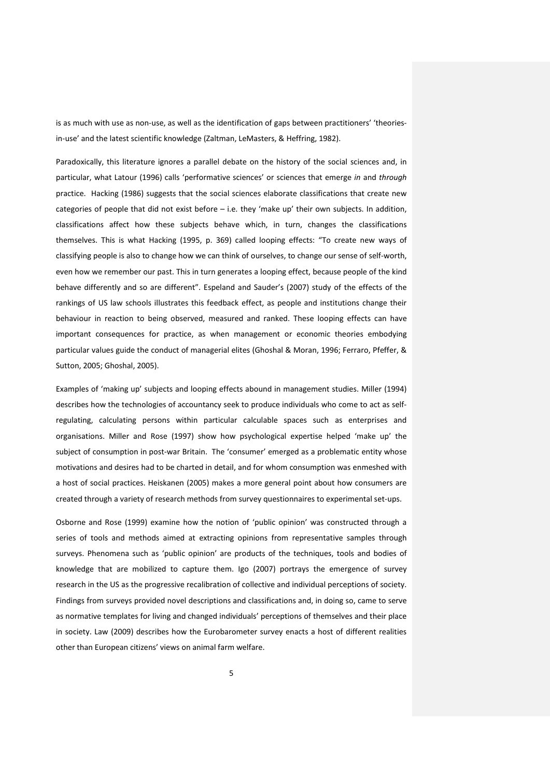is as much with use as non-use, as well as the identification of gaps between practitioners' 'theoriesin-use' and the latest scientific knowledge (Zaltman, LeMasters, & Heffring, 1982).

Paradoxically, this literature ignores a parallel debate on the history of the social sciences and, in particular, what Latour (1996) calls 'performative sciences' or sciences that emerge *in* and *through* practice. Hacking (1986) suggests that the social sciences elaborate classifications that create new categories of people that did not exist before – i.e. they 'make up' their own subjects. In addition, classifications affect how these subjects behave which, in turn, changes the classifications themselves. This is what Hacking (1995, p. 369) called looping effects: "To create new ways of classifying people is also to change how we can think of ourselves, to change our sense of self-worth, even how we remember our past. This in turn generates a looping effect, because people of the kind behave differently and so are different". Espeland and Sauder's (2007) study of the effects of the rankings of US law schools illustrates this feedback effect, as people and institutions change their behaviour in reaction to being observed, measured and ranked. These looping effects can have important consequences for practice, as when management or economic theories embodying particular values guide the conduct of managerial elites (Ghoshal & Moran, 1996; Ferraro, Pfeffer, & Sutton, 2005; Ghoshal, 2005).

Examples of 'making up' subjects and looping effects abound in management studies. Miller (1994) describes how the technologies of accountancy seek to produce individuals who come to act as selfregulating, calculating persons within particular calculable spaces such as enterprises and organisations. Miller and Rose (1997) show how psychological expertise helped 'make up' the subject of consumption in post-war Britain. The 'consumer' emerged as a problematic entity whose motivations and desires had to be charted in detail, and for whom consumption was enmeshed with a host of social practices. Heiskanen (2005) makes a more general point about how consumers are created through a variety of research methods from survey questionnaires to experimental set-ups.

Osborne and Rose (1999) examine how the notion of 'public opinion' was constructed through a series of tools and methods aimed at extracting opinions from representative samples through surveys. Phenomena such as 'public opinion' are products of the techniques, tools and bodies of knowledge that are mobilized to capture them. Igo (2007) portrays the emergence of survey research in the US as the progressive recalibration of collective and individual perceptions of society. Findings from surveys provided novel descriptions and classifications and, in doing so, came to serve as normative templates for living and changed individuals' perceptions of themselves and their place in society. Law (2009) describes how the Eurobarometer survey enacts a host of different realities other than European citizens' views on animal farm welfare.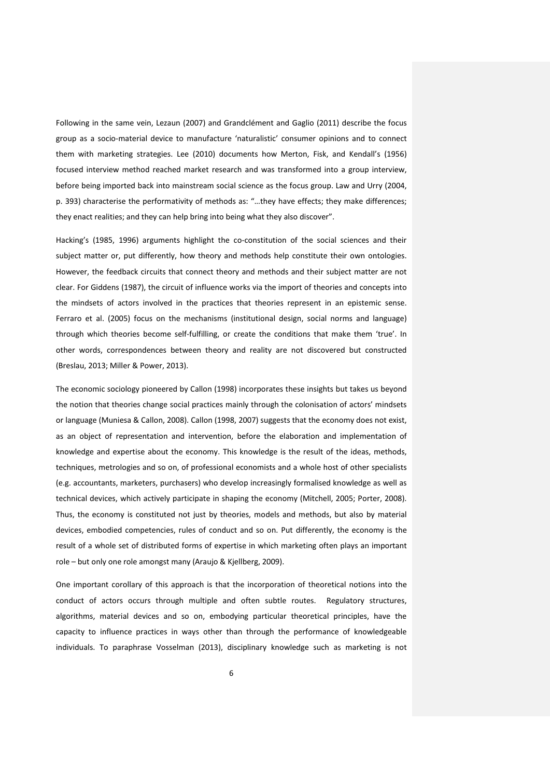Following in the same vein, Lezaun (2007) and Grandclément and Gaglio (2011) describe the focus group as a socio-material device to manufacture 'naturalistic' consumer opinions and to connect them with marketing strategies. Lee (2010) documents how Merton, Fisk, and Kendall's (1956) focused interview method reached market research and was transformed into a group interview, before being imported back into mainstream social science as the focus group. Law and Urry (2004, p. 393) characterise the performativity of methods as: "…they have effects; they make differences; they enact realities; and they can help bring into being what they also discover".

Hacking's (1985, 1996) arguments highlight the co-constitution of the social sciences and their subject matter or, put differently, how theory and methods help constitute their own ontologies. However, the feedback circuits that connect theory and methods and their subject matter are not clear. For Giddens (1987), the circuit of influence works via the import of theories and concepts into the mindsets of actors involved in the practices that theories represent in an epistemic sense. Ferraro et al. (2005) focus on the mechanisms (institutional design, social norms and language) through which theories become self-fulfilling, or create the conditions that make them 'true'. In other words, correspondences between theory and reality are not discovered but constructed (Breslau, 2013; Miller & Power, 2013).

The economic sociology pioneered by Callon (1998) incorporates these insights but takes us beyond the notion that theories change social practices mainly through the colonisation of actors' mindsets or language (Muniesa & Callon, 2008). Callon (1998, 2007) suggests that the economy does not exist, as an object of representation and intervention, before the elaboration and implementation of knowledge and expertise about the economy. This knowledge is the result of the ideas, methods, techniques, metrologies and so on, of professional economists and a whole host of other specialists (e.g. accountants, marketers, purchasers) who develop increasingly formalised knowledge as well as technical devices, which actively participate in shaping the economy (Mitchell, 2005; Porter, 2008). Thus, the economy is constituted not just by theories, models and methods, but also by material devices, embodied competencies, rules of conduct and so on. Put differently, the economy is the result of a whole set of distributed forms of expertise in which marketing often plays an important role – but only one role amongst many (Araujo & Kjellberg, 2009).

One important corollary of this approach is that the incorporation of theoretical notions into the conduct of actors occurs through multiple and often subtle routes. Regulatory structures, algorithms, material devices and so on, embodying particular theoretical principles, have the capacity to influence practices in ways other than through the performance of knowledgeable individuals. To paraphrase Vosselman (2013), disciplinary knowledge such as marketing is not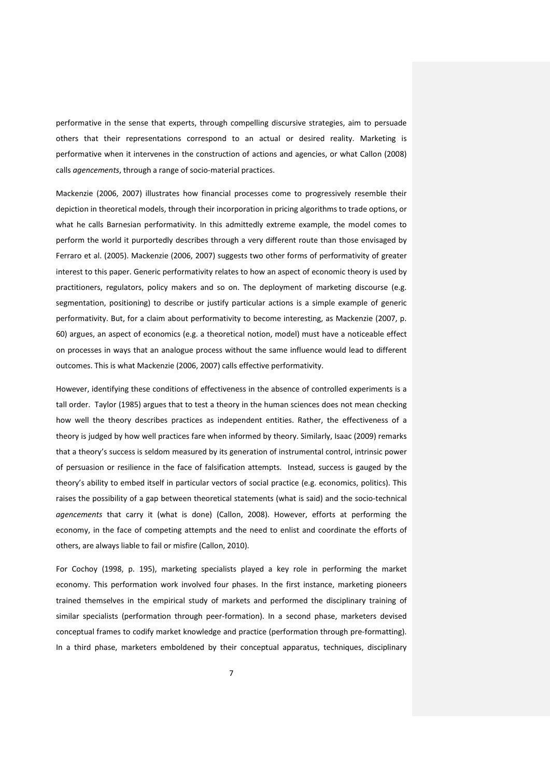performative in the sense that experts, through compelling discursive strategies, aim to persuade others that their representations correspond to an actual or desired reality. Marketing is performative when it intervenes in the construction of actions and agencies, or what Callon (2008) calls *agencements*, through a range of socio-material practices.

Mackenzie (2006, 2007) illustrates how financial processes come to progressively resemble their depiction in theoretical models, through their incorporation in pricing algorithms to trade options, or what he calls Barnesian performativity. In this admittedly extreme example, the model comes to perform the world it purportedly describes through a very different route than those envisaged by Ferraro et al. (2005). Mackenzie (2006, 2007) suggests two other forms of performativity of greater interest to this paper. Generic performativity relates to how an aspect of economic theory is used by practitioners, regulators, policy makers and so on. The deployment of marketing discourse (e.g. segmentation, positioning) to describe or justify particular actions is a simple example of generic performativity. But, for a claim about performativity to become interesting, as Mackenzie (2007, p. 60) argues, an aspect of economics (e.g. a theoretical notion, model) must have a noticeable effect on processes in ways that an analogue process without the same influence would lead to different outcomes. This is what Mackenzie (2006, 2007) calls effective performativity.

However, identifying these conditions of effectiveness in the absence of controlled experiments is a tall order. Taylor (1985) argues that to test a theory in the human sciences does not mean checking how well the theory describes practices as independent entities. Rather, the effectiveness of a theory is judged by how well practices fare when informed by theory. Similarly, Isaac (2009) remarks that a theory's success is seldom measured by its generation of instrumental control, intrinsic power of persuasion or resilience in the face of falsification attempts. Instead, success is gauged by the theory's ability to embed itself in particular vectors of social practice (e.g. economics, politics). This raises the possibility of a gap between theoretical statements (what is said) and the socio-technical *agencements* that carry it (what is done) (Callon, 2008). However, efforts at performing the economy, in the face of competing attempts and the need to enlist and coordinate the efforts of others, are always liable to fail or misfire (Callon, 2010).

For Cochoy (1998, p. 195), marketing specialists played a key role in performing the market economy. This performation work involved four phases. In the first instance, marketing pioneers trained themselves in the empirical study of markets and performed the disciplinary training of similar specialists (performation through peer-formation). In a second phase, marketers devised conceptual frames to codify market knowledge and practice (performation through pre-formatting). In a third phase, marketers emboldened by their conceptual apparatus, techniques, disciplinary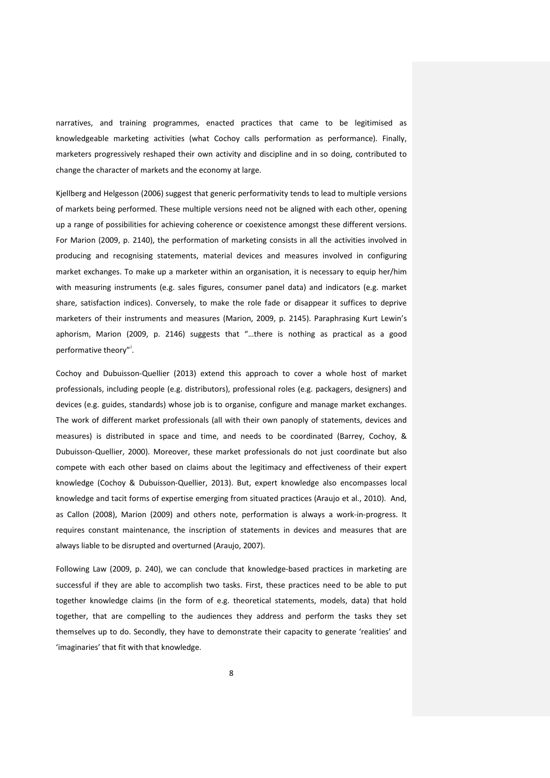narratives, and training programmes, enacted practices that came to be legitimised as knowledgeable marketing activities (what Cochoy calls performation as performance). Finally, marketers progressively reshaped their own activity and discipline and in so doing, contributed to change the character of markets and the economy at large.

Kjellberg and Helgesson (2006) suggest that generic performativity tends to lead to multiple versions of markets being performed. These multiple versions need not be aligned with each other, opening up a range of possibilities for achieving coherence or coexistence amongst these different versions. For Marion (2009, p. 2140), the performation of marketing consists in all the activities involved in producing and recognising statements, material devices and measures involved in configuring market exchanges. To make up a marketer within an organisation, it is necessary to equip her/him with measuring instruments (e.g. sales figures, consumer panel data) and indicators (e.g. market share, satisfaction indices). Conversely, to make the role fade or disappear it suffices to deprive marketers of their instruments and measures (Marion, 2009, p. 2145). Paraphrasing Kurt Lewin's aphorism, Marion (2009, p. 2146) suggests that "…there is nothing as practical as a good performat[i](#page-33-0)ve theory"<sup>i</sup>.

Cochoy and Dubuisson-Quellier (2013) extend this approach to cover a whole host of market professionals, including people (e.g. distributors), professional roles (e.g. packagers, designers) and devices (e.g. guides, standards) whose job is to organise, configure and manage market exchanges. The work of different market professionals (all with their own panoply of statements, devices and measures) is distributed in space and time, and needs to be coordinated (Barrey, Cochoy, & Dubuisson-Quellier, 2000). Moreover, these market professionals do not just coordinate but also compete with each other based on claims about the legitimacy and effectiveness of their expert knowledge (Cochoy & Dubuisson-Quellier, 2013). But, expert knowledge also encompasses local knowledge and tacit forms of expertise emerging from situated practices (Araujo et al., 2010). And, as Callon (2008), Marion (2009) and others note, performation is always a work-in-progress. It requires constant maintenance, the inscription of statements in devices and measures that are always liable to be disrupted and overturned (Araujo, 2007).

Following Law (2009, p. 240), we can conclude that knowledge-based practices in marketing are successful if they are able to accomplish two tasks. First, these practices need to be able to put together knowledge claims (in the form of e.g. theoretical statements, models, data) that hold together, that are compelling to the audiences they address and perform the tasks they set themselves up to do. Secondly, they have to demonstrate their capacity to generate 'realities' and 'imaginaries' that fit with that knowledge.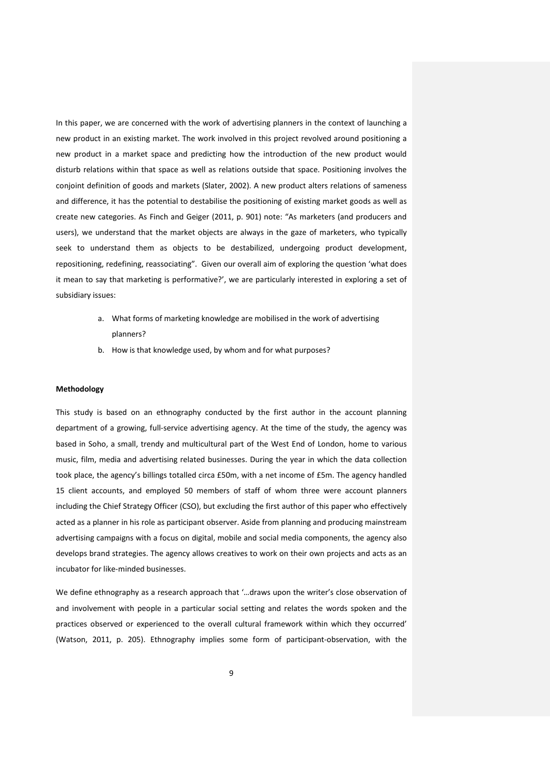In this paper, we are concerned with the work of advertising planners in the context of launching a new product in an existing market. The work involved in this project revolved around positioning a new product in a market space and predicting how the introduction of the new product would disturb relations within that space as well as relations outside that space. Positioning involves the conjoint definition of goods and markets (Slater, 2002). A new product alters relations of sameness and difference, it has the potential to destabilise the positioning of existing market goods as well as create new categories. As Finch and Geiger (2011, p. 901) note: "As marketers (and producers and users), we understand that the market objects are always in the gaze of marketers, who typically seek to understand them as objects to be destabilized, undergoing product development, repositioning, redefining, reassociating". Given our overall aim of exploring the question 'what does it mean to say that marketing is performative?', we are particularly interested in exploring a set of subsidiary issues:

- a. What forms of marketing knowledge are mobilised in the work of advertising planners?
- b. How is that knowledge used, by whom and for what purposes?

#### **Methodology**

This study is based on an ethnography conducted by the first author in the account planning department of a growing, full-service advertising agency. At the time of the study, the agency was based in Soho, a small, trendy and multicultural part of the West End of London, home to various music, film, media and advertising related businesses. During the year in which the data collection took place, the agency's billings totalled circa £50m, with a net income of £5m. The agency handled 15 client accounts, and employed 50 members of staff of whom three were account planners including the Chief Strategy Officer (CSO), but excluding the first author of this paper who effectively acted as a planner in his role as participant observer. Aside from planning and producing mainstream advertising campaigns with a focus on digital, mobile and social media components, the agency also develops brand strategies. The agency allows creatives to work on their own projects and acts as an incubator for like-minded businesses.

We define ethnography as a research approach that '…draws upon the writer's close observation of and involvement with people in a particular social setting and relates the words spoken and the practices observed or experienced to the overall cultural framework within which they occurred' (Watson, 2011, p. 205). Ethnography implies some form of participant-observation, with the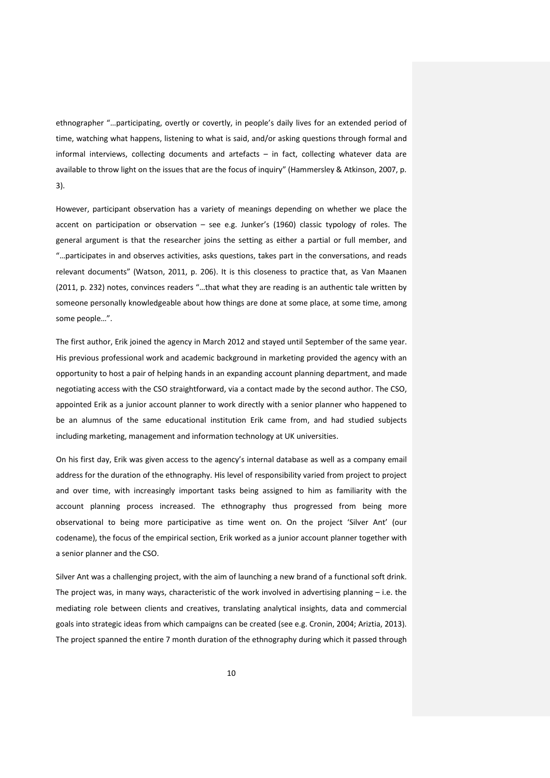ethnographer "…participating, overtly or covertly, in people's daily lives for an extended period of time, watching what happens, listening to what is said, and/or asking questions through formal and informal interviews, collecting documents and artefacts – in fact, collecting whatever data are available to throw light on the issues that are the focus of inquiry" (Hammersley & Atkinson, 2007, p. 3).

However, participant observation has a variety of meanings depending on whether we place the accent on participation or observation – see e.g. Junker's (1960) classic typology of roles. The general argument is that the researcher joins the setting as either a partial or full member, and "…participates in and observes activities, asks questions, takes part in the conversations, and reads relevant documents" (Watson, 2011, p. 206). It is this closeness to practice that, as Van Maanen (2011, p. 232) notes, convinces readers "…that what they are reading is an authentic tale written by someone personally knowledgeable about how things are done at some place, at some time, among some people…".

The first author, Erik joined the agency in March 2012 and stayed until September of the same year. His previous professional work and academic background in marketing provided the agency with an opportunity to host a pair of helping hands in an expanding account planning department, and made negotiating access with the CSO straightforward, via a contact made by the second author. The CSO, appointed Erik as a junior account planner to work directly with a senior planner who happened to be an alumnus of the same educational institution Erik came from, and had studied subjects including marketing, management and information technology at UK universities.

On his first day, Erik was given access to the agency's internal database as well as a company email address for the duration of the ethnography. His level of responsibility varied from project to project and over time, with increasingly important tasks being assigned to him as familiarity with the account planning process increased. The ethnography thus progressed from being more observational to being more participative as time went on. On the project 'Silver Ant' (our codename), the focus of the empirical section, Erik worked as a junior account planner together with a senior planner and the CSO.

Silver Ant was a challenging project, with the aim of launching a new brand of a functional soft drink. The project was, in many ways, characteristic of the work involved in advertising planning  $-$  i.e. the mediating role between clients and creatives, translating analytical insights, data and commercial goals into strategic ideas from which campaigns can be created (see e.g. Cronin, 2004; Ariztia, 2013). The project spanned the entire 7 month duration of the ethnography during which it passed through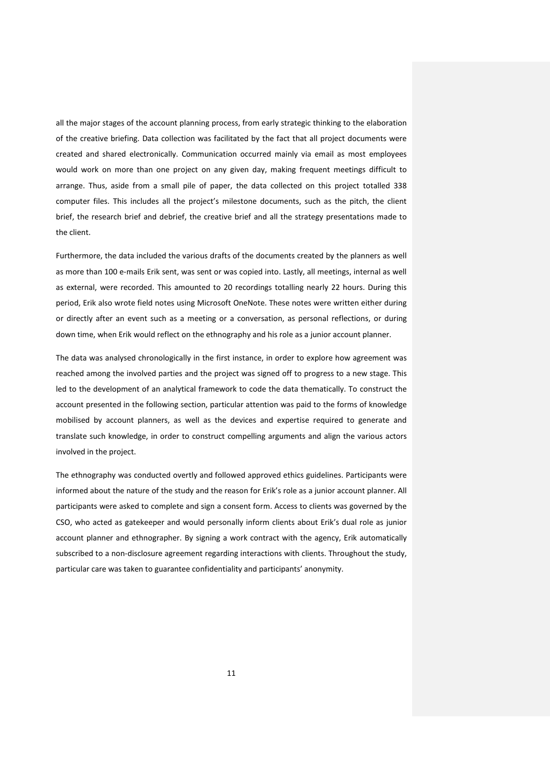all the major stages of the account planning process, from early strategic thinking to the elaboration of the creative briefing. Data collection was facilitated by the fact that all project documents were created and shared electronically. Communication occurred mainly via email as most employees would work on more than one project on any given day, making frequent meetings difficult to arrange. Thus, aside from a small pile of paper, the data collected on this project totalled 338 computer files. This includes all the project's milestone documents, such as the pitch, the client brief, the research brief and debrief, the creative brief and all the strategy presentations made to the client.

Furthermore, the data included the various drafts of the documents created by the planners as well as more than 100 e-mails Erik sent, was sent or was copied into. Lastly, all meetings, internal as well as external, were recorded. This amounted to 20 recordings totalling nearly 22 hours. During this period, Erik also wrote field notes using Microsoft OneNote. These notes were written either during or directly after an event such as a meeting or a conversation, as personal reflections, or during down time, when Erik would reflect on the ethnography and his role as a junior account planner.

The data was analysed chronologically in the first instance, in order to explore how agreement was reached among the involved parties and the project was signed off to progress to a new stage. This led to the development of an analytical framework to code the data thematically. To construct the account presented in the following section, particular attention was paid to the forms of knowledge mobilised by account planners, as well as the devices and expertise required to generate and translate such knowledge, in order to construct compelling arguments and align the various actors involved in the project.

The ethnography was conducted overtly and followed approved ethics guidelines. Participants were informed about the nature of the study and the reason for Erik's role as a junior account planner. All participants were asked to complete and sign a consent form. Access to clients was governed by the CSO, who acted as gatekeeper and would personally inform clients about Erik's dual role as junior account planner and ethnographer. By signing a work contract with the agency, Erik automatically subscribed to a non-disclosure agreement regarding interactions with clients. Throughout the study, particular care was taken to guarantee confidentiality and participants' anonymity.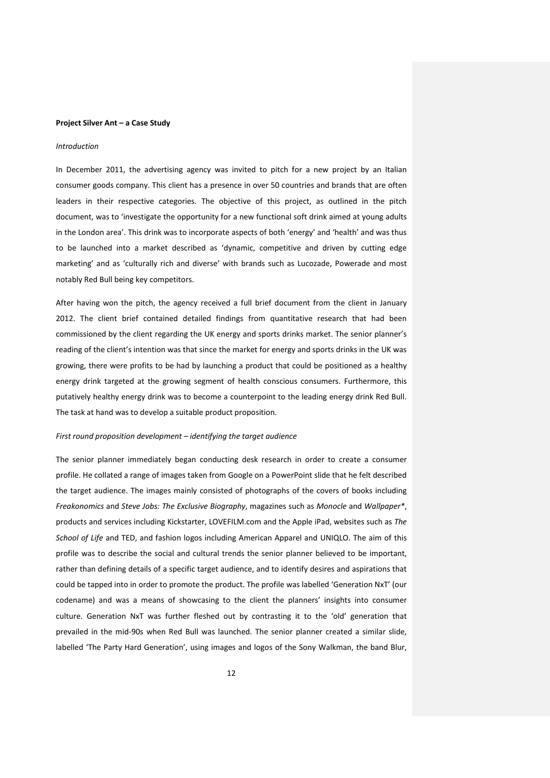#### **Project Silver Ant – a Case Study**

#### *Introduction*

In December 2011, the advertising agency was invited to pitch for a new project by an Italian consumer goods company. This client has a presence in over 50 countries and brands that are often leaders in their respective categories. The objective of this project, as outlined in the pitch document, was to 'investigate the opportunity for a new functional soft drink aimed at young adults in the London area'. This drink was to incorporate aspects of both 'energy' and 'health' and was thus to be launched into a market described as 'dynamic, competitive and driven by cutting edge marketing' and as 'culturally rich and diverse' with brands such as Lucozade, Powerade and most notably Red Bull being key competitors.

After having won the pitch, the agency received a full brief document from the client in January 2012. The client brief contained detailed findings from quantitative research that had been commissioned by the client regarding the UK energy and sports drinks market. The senior planner's reading of the client's intention was that since the market for energy and sports drinks in the UK was growing, there were profits to be had by launching a product that could be positioned as a healthy energy drink targeted at the growing segment of health conscious consumers. Furthermore, this putatively healthy energy drink was to become a counterpoint to the leading energy drink Red Bull. The task at hand was to develop a suitable product proposition.

#### *First round proposition development – identifying the target audience*

The senior planner immediately began conducting desk research in order to create a consumer profile. He collated a range of images taken from Google on a PowerPoint slide that he felt described the target audience. The images mainly consisted of photographs of the covers of books including *Freakonomics* and *Steve Jobs: The Exclusive Biography*, magazines such as *Monocle* and *Wallpaper\**, products and services including Kickstarter, LOVEFILM.com and the Apple iPad, websites such as *The School of Life* and TED, and fashion logos including American Apparel and UNIQLO. The aim of this profile was to describe the social and cultural trends the senior planner believed to be important, rather than defining details of a specific target audience, and to identify desires and aspirations that could be tapped into in order to promote the product. The profile was labelled 'Generation NxT' (our codename) and was a means of showcasing to the client the planners' insights into consumer culture. Generation NxT was further fleshed out by contrasting it to the 'old' generation that prevailed in the mid-90s when Red Bull was launched. The senior planner created a similar slide, labelled 'The Party Hard Generation', using images and logos of the Sony Walkman, the band Blur,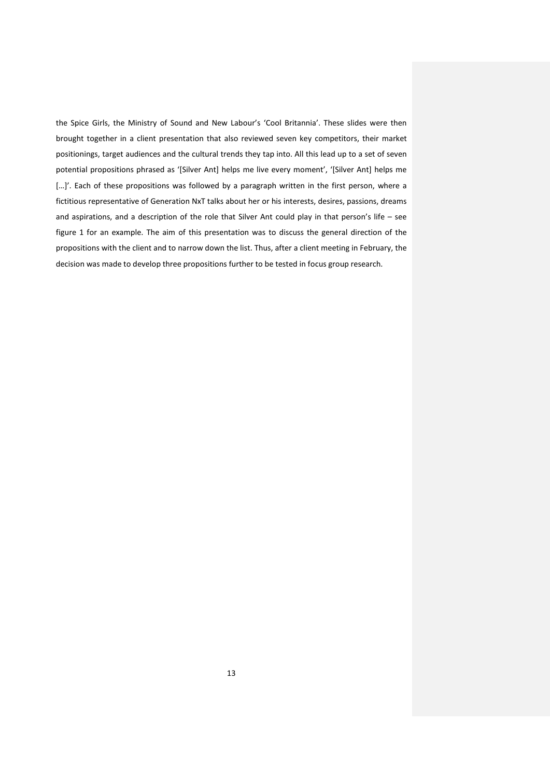the Spice Girls, the Ministry of Sound and New Labour's 'Cool Britannia'. These slides were then brought together in a client presentation that also reviewed seven key competitors, their market positionings, target audiences and the cultural trends they tap into. All this lead up to a set of seven potential propositions phrased as '[Silver Ant] helps me live every moment', '[Silver Ant] helps me [...]'. Each of these propositions was followed by a paragraph written in the first person, where a fictitious representative of Generation NxT talks about her or his interests, desires, passions, dreams and aspirations, and a description of the role that Silver Ant could play in that person's life – see figure 1 for an example. The aim of this presentation was to discuss the general direction of the propositions with the client and to narrow down the list. Thus, after a client meeting in February, the decision was made to develop three propositions further to be tested in focus group research.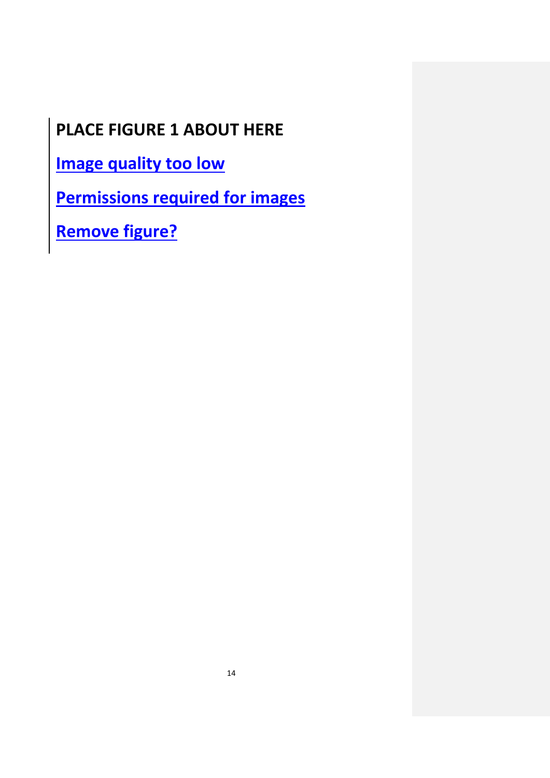# **PLACE FIGURE 1 ABOUT HERE**

**Image quality too low**

**Permissions required for images**

**Remove figure?**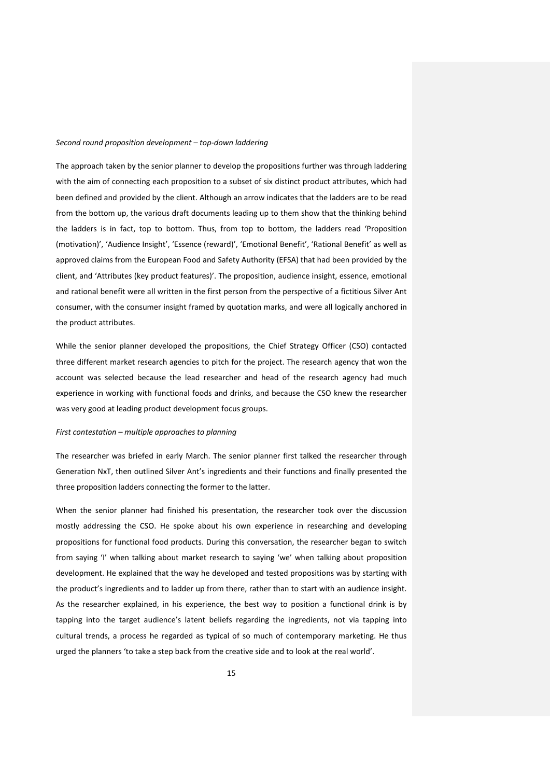#### *Second round proposition development – top-down laddering*

The approach taken by the senior planner to develop the propositions further was through laddering with the aim of connecting each proposition to a subset of six distinct product attributes, which had been defined and provided by the client. Although an arrow indicates that the ladders are to be read from the bottom up, the various draft documents leading up to them show that the thinking behind the ladders is in fact, top to bottom. Thus, from top to bottom, the ladders read 'Proposition (motivation)', 'Audience Insight', 'Essence (reward)', 'Emotional Benefit', 'Rational Benefit' as well as approved claims from the European Food and Safety Authority (EFSA) that had been provided by the client, and 'Attributes (key product features)'. The proposition, audience insight, essence, emotional and rational benefit were all written in the first person from the perspective of a fictitious Silver Ant consumer, with the consumer insight framed by quotation marks, and were all logically anchored in the product attributes.

While the senior planner developed the propositions, the Chief Strategy Officer (CSO) contacted three different market research agencies to pitch for the project. The research agency that won the account was selected because the lead researcher and head of the research agency had much experience in working with functional foods and drinks, and because the CSO knew the researcher was very good at leading product development focus groups.

#### *First contestation – multiple approaches to planning*

The researcher was briefed in early March. The senior planner first talked the researcher through Generation NxT, then outlined Silver Ant's ingredients and their functions and finally presented the three proposition ladders connecting the former to the latter.

When the senior planner had finished his presentation, the researcher took over the discussion mostly addressing the CSO. He spoke about his own experience in researching and developing propositions for functional food products. During this conversation, the researcher began to switch from saying 'I' when talking about market research to saying 'we' when talking about proposition development. He explained that the way he developed and tested propositions was by starting with the product's ingredients and to ladder up from there, rather than to start with an audience insight. As the researcher explained, in his experience, the best way to position a functional drink is by tapping into the target audience's latent beliefs regarding the ingredients, not via tapping into cultural trends, a process he regarded as typical of so much of contemporary marketing. He thus urged the planners 'to take a step back from the creative side and to look at the real world'.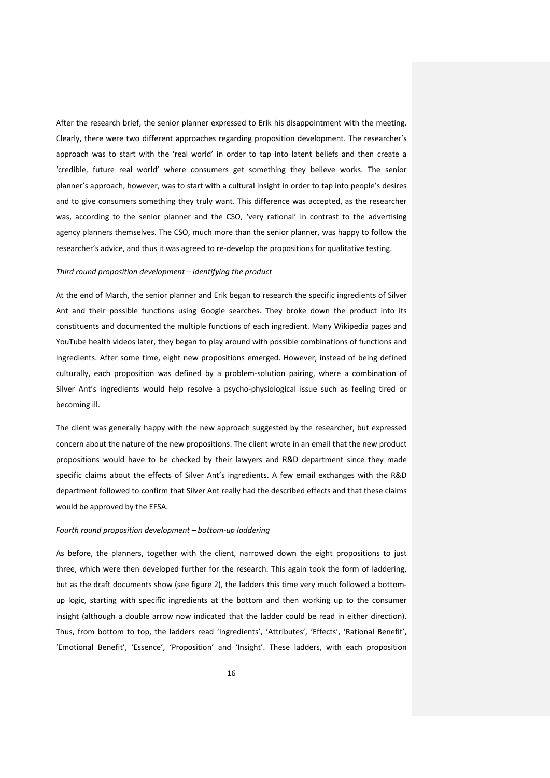After the research brief, the senior planner expressed to Erik his disappointment with the meeting. Clearly, there were two different approaches regarding proposition development. The researcher's approach was to start with the 'real world' in order to tap into latent beliefs and then create a 'credible, future real world' where consumers get something they believe works. The senior planner's approach, however, was to start with a cultural insight in order to tap into people's desires and to give consumers something they truly want. This difference was accepted, as the researcher was, according to the senior planner and the CSO, 'very rational' in contrast to the advertising agency planners themselves. The CSO, much more than the senior planner, was happy to follow the researcher's advice, and thus it was agreed to re-develop the propositions for qualitative testing.

#### *Third round proposition development – identifying the product*

At the end of March, the senior planner and Erik began to research the specific ingredients of Silver Ant and their possible functions using Google searches. They broke down the product into its constituents and documented the multiple functions of each ingredient. Many Wikipedia pages and YouTube health videos later, they began to play around with possible combinations of functions and ingredients. After some time, eight new propositions emerged. However, instead of being defined culturally, each proposition was defined by a problem-solution pairing, where a combination of Silver Ant's ingredients would help resolve a psycho-physiological issue such as feeling tired or becoming ill.

The client was generally happy with the new approach suggested by the researcher, but expressed concern about the nature of the new propositions. The client wrote in an email that the new product propositions would have to be checked by their lawyers and R&D department since they made specific claims about the effects of Silver Ant's ingredients. A few email exchanges with the R&D department followed to confirm that Silver Ant really had the described effects and that these claims would be approved by the EFSA.

#### *Fourth round proposition development – bottom-up laddering*

As before, the planners, together with the client, narrowed down the eight propositions to just three, which were then developed further for the research. This again took the form of laddering, but as the draft documents show (see figure 2), the ladders this time very much followed a bottomup logic, starting with specific ingredients at the bottom and then working up to the consumer insight (although a double arrow now indicated that the ladder could be read in either direction). Thus, from bottom to top, the ladders read 'Ingredients', 'Attributes', 'Effects', 'Rational Benefit', 'Emotional Benefit', 'Essence', 'Proposition' and 'Insight'. These ladders, with each proposition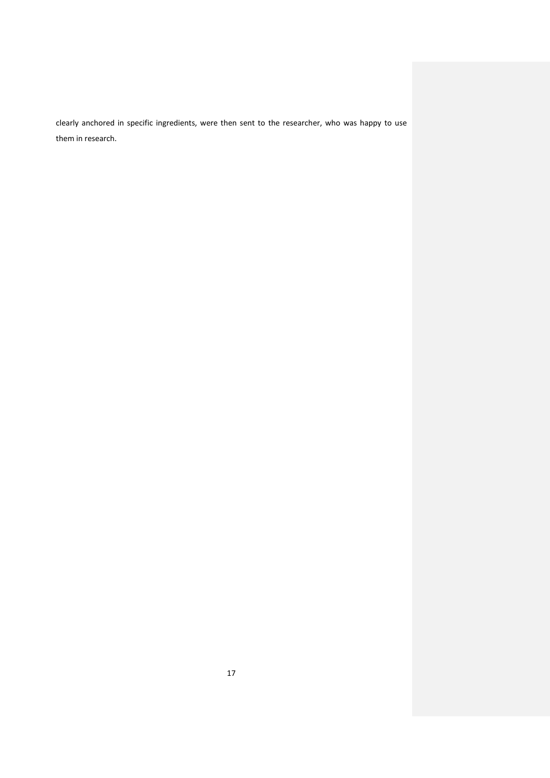clearly anchored in specific ingredients, were then sent to the researcher, who was happy to use them in research.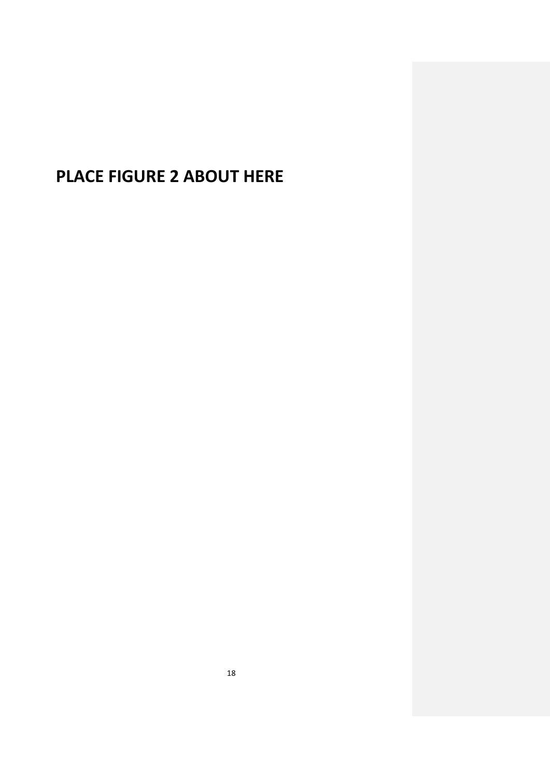## **PLACE FIGURE 2 ABOUT HERE**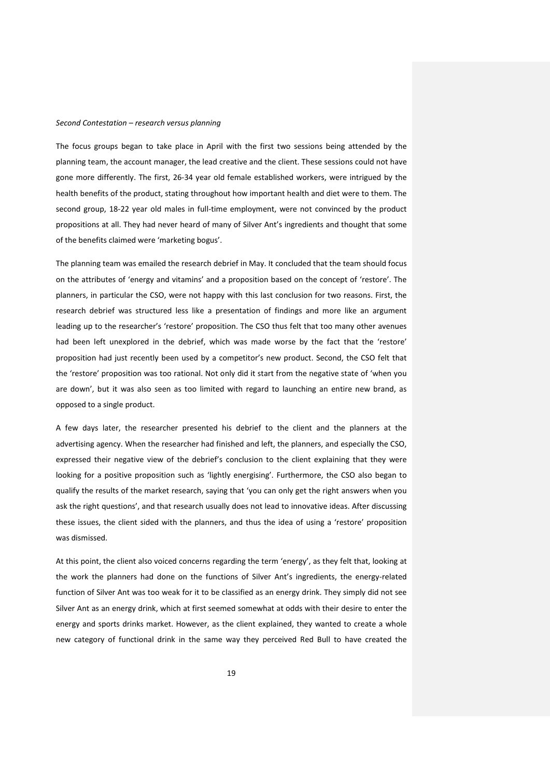#### *Second Contestation – research versus planning*

The focus groups began to take place in April with the first two sessions being attended by the planning team, the account manager, the lead creative and the client. These sessions could not have gone more differently. The first, 26-34 year old female established workers, were intrigued by the health benefits of the product, stating throughout how important health and diet were to them. The second group, 18-22 year old males in full-time employment, were not convinced by the product propositions at all. They had never heard of many of Silver Ant's ingredients and thought that some of the benefits claimed were 'marketing bogus'.

The planning team was emailed the research debrief in May. It concluded that the team should focus on the attributes of 'energy and vitamins' and a proposition based on the concept of 'restore'. The planners, in particular the CSO, were not happy with this last conclusion for two reasons. First, the research debrief was structured less like a presentation of findings and more like an argument leading up to the researcher's 'restore' proposition. The CSO thus felt that too many other avenues had been left unexplored in the debrief, which was made worse by the fact that the 'restore' proposition had just recently been used by a competitor's new product. Second, the CSO felt that the 'restore' proposition was too rational. Not only did it start from the negative state of 'when you are down', but it was also seen as too limited with regard to launching an entire new brand, as opposed to a single product.

A few days later, the researcher presented his debrief to the client and the planners at the advertising agency. When the researcher had finished and left, the planners, and especially the CSO, expressed their negative view of the debrief's conclusion to the client explaining that they were looking for a positive proposition such as 'lightly energising'. Furthermore, the CSO also began to qualify the results of the market research, saying that 'you can only get the right answers when you ask the right questions', and that research usually does not lead to innovative ideas. After discussing these issues, the client sided with the planners, and thus the idea of using a 'restore' proposition was dismissed.

At this point, the client also voiced concerns regarding the term 'energy', as they felt that, looking at the work the planners had done on the functions of Silver Ant's ingredients, the energy-related function of Silver Ant was too weak for it to be classified as an energy drink. They simply did not see Silver Ant as an energy drink, which at first seemed somewhat at odds with their desire to enter the energy and sports drinks market. However, as the client explained, they wanted to create a whole new category of functional drink in the same way they perceived Red Bull to have created the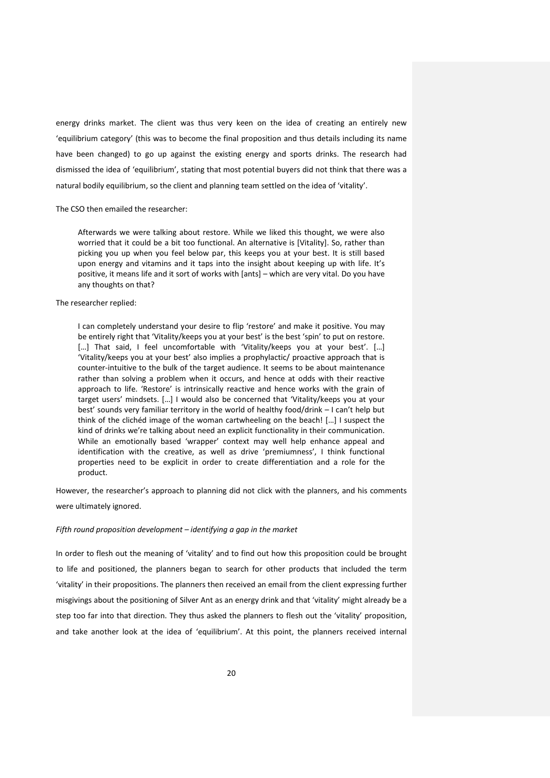energy drinks market. The client was thus very keen on the idea of creating an entirely new 'equilibrium category' (this was to become the final proposition and thus details including its name have been changed) to go up against the existing energy and sports drinks. The research had dismissed the idea of 'equilibrium', stating that most potential buyers did not think that there was a natural bodily equilibrium, so the client and planning team settled on the idea of 'vitality'.

#### The CSO then emailed the researcher:

Afterwards we were talking about restore. While we liked this thought, we were also worried that it could be a bit too functional. An alternative is [Vitality]. So, rather than picking you up when you feel below par, this keeps you at your best. It is still based upon energy and vitamins and it taps into the insight about keeping up with life. It's positive, it means life and it sort of works with [ants] – which are very vital. Do you have any thoughts on that?

#### The researcher replied:

I can completely understand your desire to flip 'restore' and make it positive. You may be entirely right that 'Vitality/keeps you at your best' is the best 'spin' to put on restore. [...] That said, I feel uncomfortable with 'Vitality/keeps you at your best'. [...] 'Vitality/keeps you at your best' also implies a prophylactic/ proactive approach that is counter-intuitive to the bulk of the target audience. It seems to be about maintenance rather than solving a problem when it occurs, and hence at odds with their reactive approach to life. 'Restore' is intrinsically reactive and hence works with the grain of target users' mindsets. […] I would also be concerned that 'Vitality/keeps you at your best' sounds very familiar territory in the world of healthy food/drink – I can't help but think of the clichéd image of the woman cartwheeling on the beach! […] I suspect the kind of drinks we're talking about need an explicit functionality in their communication. While an emotionally based 'wrapper' context may well help enhance appeal and identification with the creative, as well as drive 'premiumness', I think functional properties need to be explicit in order to create differentiation and a role for the product.

However, the researcher's approach to planning did not click with the planners, and his comments were ultimately ignored.

#### *Fifth round proposition development – identifying a gap in the market*

In order to flesh out the meaning of 'vitality' and to find out how this proposition could be brought to life and positioned, the planners began to search for other products that included the term 'vitality' in their propositions. The planners then received an email from the client expressing further misgivings about the positioning of Silver Ant as an energy drink and that 'vitality' might already be a step too far into that direction. They thus asked the planners to flesh out the 'vitality' proposition, and take another look at the idea of 'equilibrium'. At this point, the planners received internal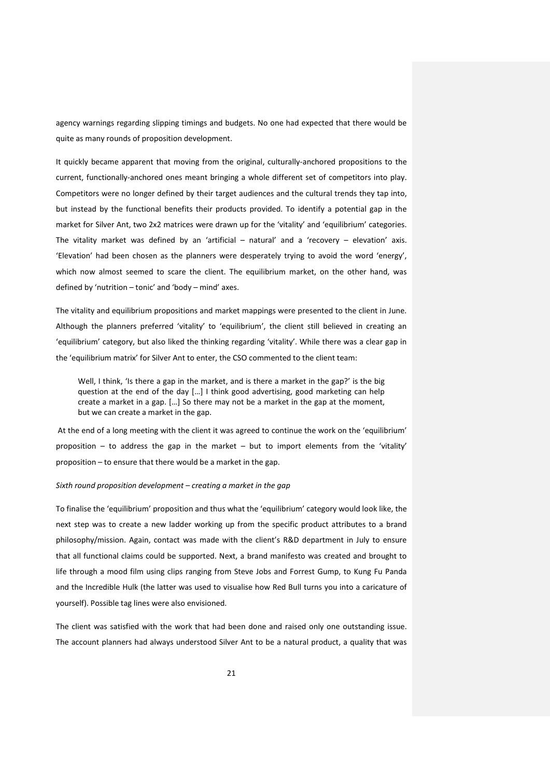agency warnings regarding slipping timings and budgets. No one had expected that there would be quite as many rounds of proposition development.

It quickly became apparent that moving from the original, culturally-anchored propositions to the current, functionally-anchored ones meant bringing a whole different set of competitors into play. Competitors were no longer defined by their target audiences and the cultural trends they tap into, but instead by the functional benefits their products provided. To identify a potential gap in the market for Silver Ant, two 2x2 matrices were drawn up for the 'vitality' and 'equilibrium' categories. The vitality market was defined by an 'artificial – natural' and a 'recovery – elevation' axis. 'Elevation' had been chosen as the planners were desperately trying to avoid the word 'energy', which now almost seemed to scare the client. The equilibrium market, on the other hand, was defined by 'nutrition – tonic' and 'body – mind' axes.

The vitality and equilibrium propositions and market mappings were presented to the client in June. Although the planners preferred 'vitality' to 'equilibrium', the client still believed in creating an 'equilibrium' category, but also liked the thinking regarding 'vitality'. While there was a clear gap in the 'equilibrium matrix' for Silver Ant to enter, the CSO commented to the client team:

Well, I think, 'Is there a gap in the market, and is there a market in the gap?' is the big question at the end of the day […] I think good advertising, good marketing can help create a market in a gap. […] So there may not be a market in the gap at the moment, but we can create a market in the gap.

At the end of a long meeting with the client it was agreed to continue the work on the 'equilibrium' proposition – to address the gap in the market – but to import elements from the 'vitality' proposition – to ensure that there would be a market in the gap.

#### *Sixth round proposition development – creating a market in the gap*

To finalise the 'equilibrium' proposition and thus what the 'equilibrium' category would look like, the next step was to create a new ladder working up from the specific product attributes to a brand philosophy/mission. Again, contact was made with the client's R&D department in July to ensure that all functional claims could be supported. Next, a brand manifesto was created and brought to life through a mood film using clips ranging from Steve Jobs and Forrest Gump, to Kung Fu Panda and the Incredible Hulk (the latter was used to visualise how Red Bull turns you into a caricature of yourself). Possible tag lines were also envisioned.

The client was satisfied with the work that had been done and raised only one outstanding issue. The account planners had always understood Silver Ant to be a natural product, a quality that was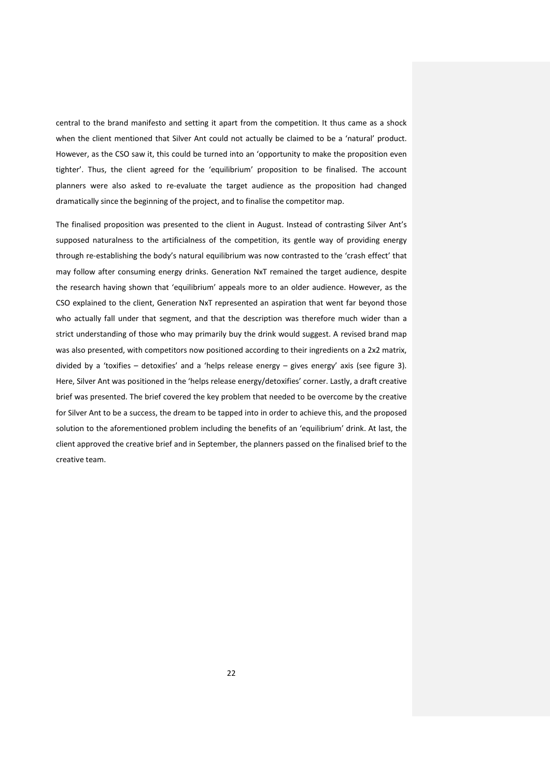central to the brand manifesto and setting it apart from the competition. It thus came as a shock when the client mentioned that Silver Ant could not actually be claimed to be a 'natural' product. However, as the CSO saw it, this could be turned into an 'opportunity to make the proposition even tighter'. Thus, the client agreed for the 'equilibrium' proposition to be finalised. The account planners were also asked to re-evaluate the target audience as the proposition had changed dramatically since the beginning of the project, and to finalise the competitor map.

The finalised proposition was presented to the client in August. Instead of contrasting Silver Ant's supposed naturalness to the artificialness of the competition, its gentle way of providing energy through re-establishing the body's natural equilibrium was now contrasted to the 'crash effect' that may follow after consuming energy drinks. Generation NxT remained the target audience, despite the research having shown that 'equilibrium' appeals more to an older audience. However, as the CSO explained to the client, Generation NxT represented an aspiration that went far beyond those who actually fall under that segment, and that the description was therefore much wider than a strict understanding of those who may primarily buy the drink would suggest. A revised brand map was also presented, with competitors now positioned according to their ingredients on a 2x2 matrix, divided by a 'toxifies – detoxifies' and a 'helps release energy – gives energy' axis (see figure 3). Here, Silver Ant was positioned in the 'helps release energy/detoxifies' corner. Lastly, a draft creative brief was presented. The brief covered the key problem that needed to be overcome by the creative for Silver Ant to be a success, the dream to be tapped into in order to achieve this, and the proposed solution to the aforementioned problem including the benefits of an 'equilibrium' drink. At last, the client approved the creative brief and in September, the planners passed on the finalised brief to the creative team.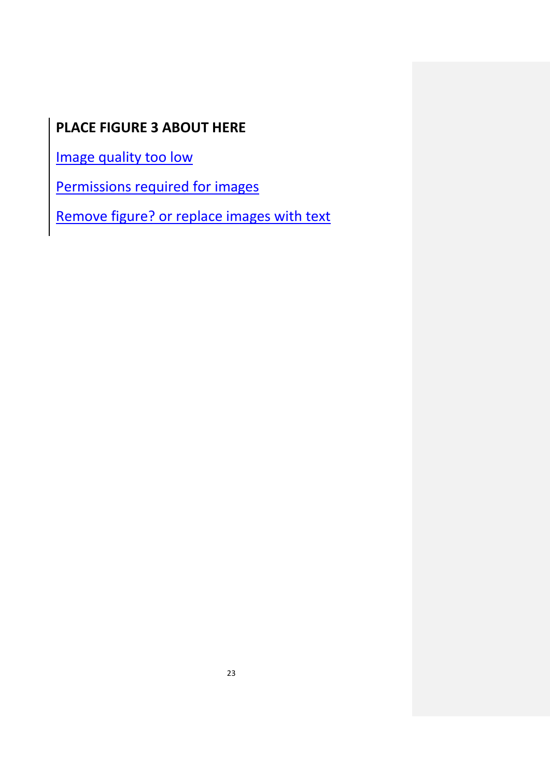### **PLACE FIGURE 3 ABOUT HERE**

Image quality too low

Permissions required for images

Remove figure? or replace images with text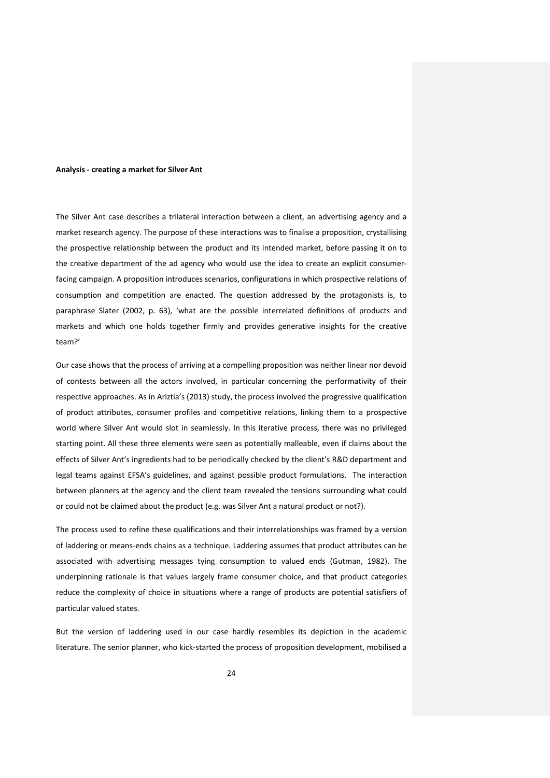#### **Analysis - creating a market for Silver Ant**

The Silver Ant case describes a trilateral interaction between a client, an advertising agency and a market research agency. The purpose of these interactions was to finalise a proposition, crystallising the prospective relationship between the product and its intended market, before passing it on to the creative department of the ad agency who would use the idea to create an explicit consumerfacing campaign. A proposition introduces scenarios, configurations in which prospective relations of consumption and competition are enacted. The question addressed by the protagonists is, to paraphrase Slater (2002, p. 63), 'what are the possible interrelated definitions of products and markets and which one holds together firmly and provides generative insights for the creative team?'

Our case shows that the process of arriving at a compelling proposition was neither linear nor devoid of contests between all the actors involved, in particular concerning the performativity of their respective approaches. As in Ariztia's (2013) study, the process involved the progressive qualification of product attributes, consumer profiles and competitive relations, linking them to a prospective world where Silver Ant would slot in seamlessly. In this iterative process, there was no privileged starting point. All these three elements were seen as potentially malleable, even if claims about the effects of Silver Ant's ingredients had to be periodically checked by the client's R&D department and legal teams against EFSA's guidelines, and against possible product formulations. The interaction between planners at the agency and the client team revealed the tensions surrounding what could or could not be claimed about the product (e.g. was Silver Ant a natural product or not?).

The process used to refine these qualifications and their interrelationships was framed by a version of laddering or means-ends chains as a technique. Laddering assumes that product attributes can be associated with advertising messages tying consumption to valued ends (Gutman, 1982). The underpinning rationale is that values largely frame consumer choice, and that product categories reduce the complexity of choice in situations where a range of products are potential satisfiers of particular valued states.

But the version of laddering used in our case hardly resembles its depiction in the academic literature. The senior planner, who kick-started the process of proposition development, mobilised a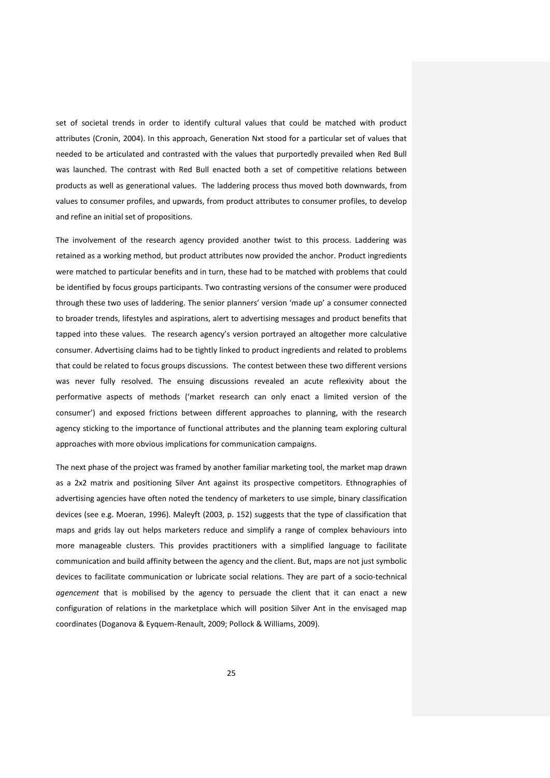set of societal trends in order to identify cultural values that could be matched with product attributes (Cronin, 2004). In this approach, Generation Nxt stood for a particular set of values that needed to be articulated and contrasted with the values that purportedly prevailed when Red Bull was launched. The contrast with Red Bull enacted both a set of competitive relations between products as well as generational values. The laddering process thus moved both downwards, from values to consumer profiles, and upwards, from product attributes to consumer profiles, to develop and refine an initial set of propositions.

The involvement of the research agency provided another twist to this process. Laddering was retained as a working method, but product attributes now provided the anchor. Product ingredients were matched to particular benefits and in turn, these had to be matched with problems that could be identified by focus groups participants. Two contrasting versions of the consumer were produced through these two uses of laddering. The senior planners' version 'made up' a consumer connected to broader trends, lifestyles and aspirations, alert to advertising messages and product benefits that tapped into these values. The research agency's version portrayed an altogether more calculative consumer. Advertising claims had to be tightly linked to product ingredients and related to problems that could be related to focus groups discussions. The contest between these two different versions was never fully resolved. The ensuing discussions revealed an acute reflexivity about the performative aspects of methods ('market research can only enact a limited version of the consumer') and exposed frictions between different approaches to planning, with the research agency sticking to the importance of functional attributes and the planning team exploring cultural approaches with more obvious implications for communication campaigns.

The next phase of the project was framed by another familiar marketing tool, the market map drawn as a 2x2 matrix and positioning Silver Ant against its prospective competitors. Ethnographies of advertising agencies have often noted the tendency of marketers to use simple, binary classification devices (see e.g. Moeran, 1996). Maleyft (2003, p. 152) suggests that the type of classification that maps and grids lay out helps marketers reduce and simplify a range of complex behaviours into more manageable clusters. This provides practitioners with a simplified language to facilitate communication and build affinity between the agency and the client. But, maps are not just symbolic devices to facilitate communication or lubricate social relations. They are part of a socio-technical *agencement* that is mobilised by the agency to persuade the client that it can enact a new configuration of relations in the marketplace which will position Silver Ant in the envisaged map coordinates (Doganova & Eyquem-Renault, 2009; Pollock & Williams, 2009).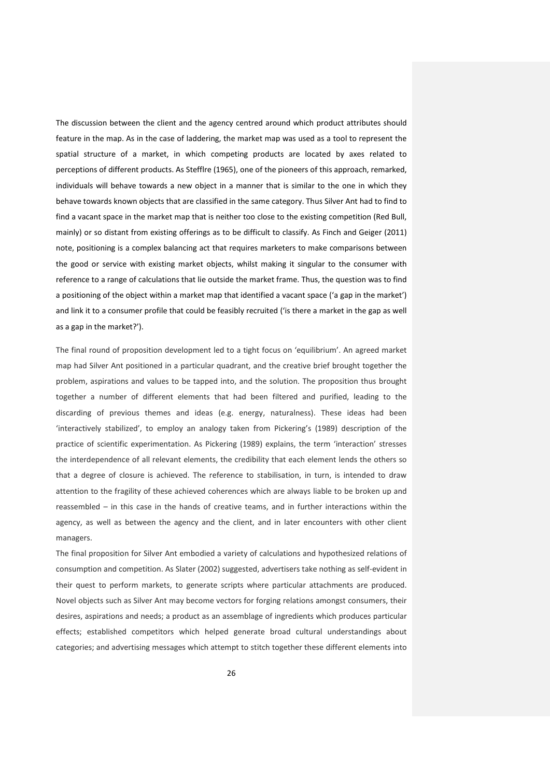The discussion between the client and the agency centred around which product attributes should feature in the map. As in the case of laddering, the market map was used as a tool to represent the spatial structure of a market, in which competing products are located by axes related to perceptions of different products. As Stefflre (1965), one of the pioneers of this approach, remarked, individuals will behave towards a new object in a manner that is similar to the one in which they behave towards known objects that are classified in the same category. Thus Silver Ant had to find to find a vacant space in the market map that is neither too close to the existing competition (Red Bull, mainly) or so distant from existing offerings as to be difficult to classify. As Finch and Geiger (2011) note, positioning is a complex balancing act that requires marketers to make comparisons between the good or service with existing market objects, whilst making it singular to the consumer with reference to a range of calculations that lie outside the market frame. Thus, the question was to find a positioning of the object within a market map that identified a vacant space ('a gap in the market') and link it to a consumer profile that could be feasibly recruited ('is there a market in the gap as well as a gap in the market?').

The final round of proposition development led to a tight focus on 'equilibrium'. An agreed market map had Silver Ant positioned in a particular quadrant, and the creative brief brought together the problem, aspirations and values to be tapped into, and the solution. The proposition thus brought together a number of different elements that had been filtered and purified, leading to the discarding of previous themes and ideas (e.g. energy, naturalness). These ideas had been 'interactively stabilized', to employ an analogy taken from Pickering's (1989) description of the practice of scientific experimentation. As Pickering (1989) explains, the term 'interaction' stresses the interdependence of all relevant elements, the credibility that each element lends the others so that a degree of closure is achieved. The reference to stabilisation, in turn, is intended to draw attention to the fragility of these achieved coherences which are always liable to be broken up and reassembled – in this case in the hands of creative teams, and in further interactions within the agency, as well as between the agency and the client, and in later encounters with other client managers.

The final proposition for Silver Ant embodied a variety of calculations and hypothesized relations of consumption and competition. As Slater (2002) suggested, advertisers take nothing as self-evident in their quest to perform markets, to generate scripts where particular attachments are produced. Novel objects such as Silver Ant may become vectors for forging relations amongst consumers, their desires, aspirations and needs; a product as an assemblage of ingredients which produces particular effects; established competitors which helped generate broad cultural understandings about categories; and advertising messages which attempt to stitch together these different elements into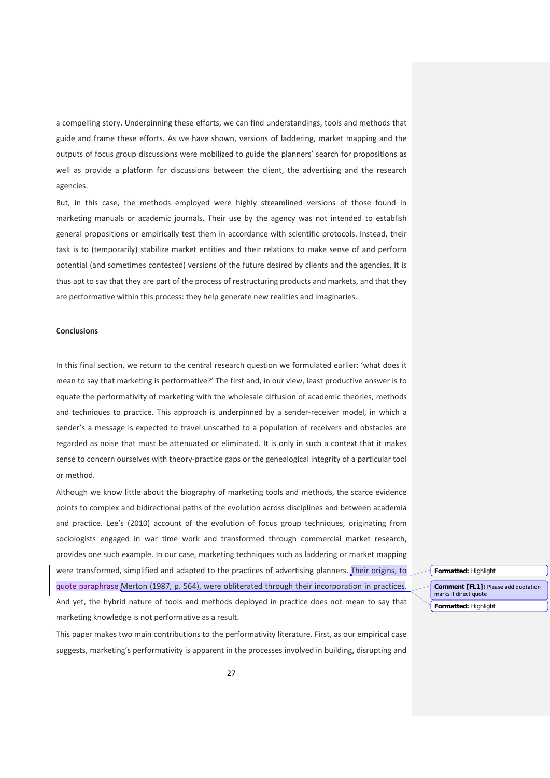a compelling story. Underpinning these efforts, we can find understandings, tools and methods that guide and frame these efforts. As we have shown, versions of laddering, market mapping and the outputs of focus group discussions were mobilized to guide the planners' search for propositions as well as provide a platform for discussions between the client, the advertising and the research agencies.

But, in this case, the methods employed were highly streamlined versions of those found in marketing manuals or academic journals. Their use by the agency was not intended to establish general propositions or empirically test them in accordance with scientific protocols. Instead, their task is to (temporarily) stabilize market entities and their relations to make sense of and perform potential (and sometimes contested) versions of the future desired by clients and the agencies. It is thus apt to say that they are part of the process of restructuring products and markets, and that they are performative within this process: they help generate new realities and imaginaries.

#### **Conclusions**

In this final section, we return to the central research question we formulated earlier: 'what does it mean to say that marketing is performative?' The first and, in our view, least productive answer is to equate the performativity of marketing with the wholesale diffusion of academic theories, methods and techniques to practice. This approach is underpinned by a sender-receiver model, in which a sender's a message is expected to travel unscathed to a population of receivers and obstacles are regarded as noise that must be attenuated or eliminated. It is only in such a context that it makes sense to concern ourselves with theory-practice gaps or the genealogical integrity of a particular tool or method.

Although we know little about the biography of marketing tools and methods, the scarce evidence points to complex and bidirectional paths of the evolution across disciplines and between academia and practice. Lee's (2010) account of the evolution of focus group techniques, originating from sociologists engaged in war time work and transformed through commercial market research, provides one such example. In our case, marketing techniques such as laddering or market mapping were transformed, simplified and adapted to the practices of advertising planners. Their origins, to quote paraphrase Merton (1987, p. 564), were obliterated through their incorporation in practices.

And yet, the hybrid nature of tools and methods deployed in practice does not mean to say that marketing knowledge is not performative as a result.

This paper makes two main contributions to the performativity literature. First, as our empirical case suggests, marketing's performativity is apparent in the processes involved in building, disrupting and **Formatted:** Highlight

**Formatted:** Highlight **Comment [FL1]:** Please add quotation marks if direct quote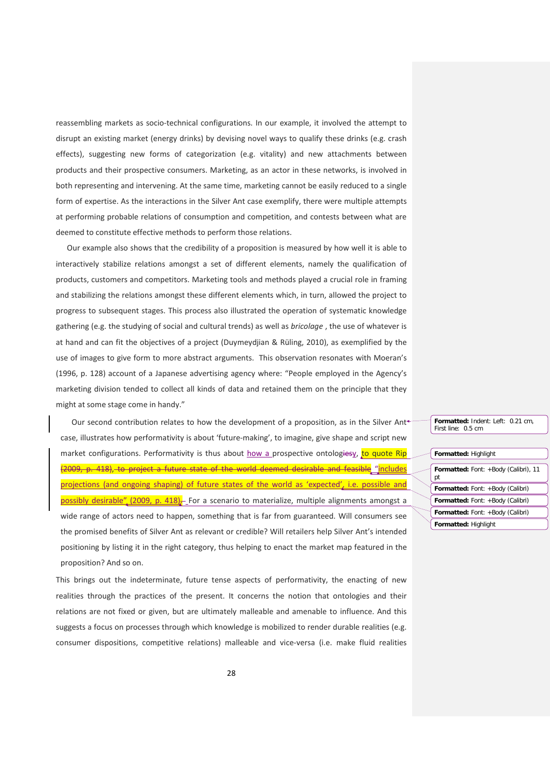reassembling markets as socio-technical configurations. In our example, it involved the attempt to disrupt an existing market (energy drinks) by devising novel ways to qualify these drinks (e.g. crash effects), suggesting new forms of categorization (e.g. vitality) and new attachments between products and their prospective consumers. Marketing, as an actor in these networks, is involved in both representing and intervening. At the same time, marketing cannot be easily reduced to a single form of expertise. As the interactions in the Silver Ant case exemplify, there were multiple attempts at performing probable relations of consumption and competition, and contests between what are deemed to constitute effective methods to perform those relations.

Our example also shows that the credibility of a proposition is measured by how well it is able to interactively stabilize relations amongst a set of different elements, namely the qualification of products, customers and competitors. Marketing tools and methods played a crucial role in framing and stabilizing the relations amongst these different elements which, in turn, allowed the project to progress to subsequent stages. This process also illustrated the operation of systematic knowledge gathering (e.g. the studying of social and cultural trends) as well as *bricolage* , the use of whatever is at hand and can fit the objectives of a project (Duymeydjian & Rüling, 2010), as exemplified by the use of images to give form to more abstract arguments. This observation resonates with Moeran's (1996, p. 128) account of a Japanese advertising agency where: "People employed in the Agency's marketing division tended to collect all kinds of data and retained them on the principle that they might at some stage come in handy."

Our second contribution relates to how the development of a proposition, as in the Silver Ant<sup>\*</sup> case, illustrates how performativity is about 'future-making', to imagine, give shape and script new market configurations. Performativity is thus about how a prospective ontologiesy, to quote Rip (2009, p. 418), to project a future state of the world deemed desirable and feasible "includes projections (and ongoing shaping) of future states of the world as 'expected', i.e. possible and possibly desirable" (2009, p. 418) $\neq$  For a scenario to materialize, multiple alignments amongst a wide range of actors need to happen, something that is far from guaranteed. Will consumers see the promised benefits of Silver Ant as relevant or credible? Will retailers help Silver Ant's intended positioning by listing it in the right category, thus helping to enact the market map featured in the proposition? And so on.

This brings out the indeterminate, future tense aspects of performativity, the enacting of new realities through the practices of the present. It concerns the notion that ontologies and their relations are not fixed or given, but are ultimately malleable and amenable to influence. And this suggests a focus on processes through which knowledge is mobilized to render durable realities (e.g. consumer dispositions, competitive relations) malleable and vice-versa (i.e. make fluid realities



| Formatted: Highlight                       |
|--------------------------------------------|
| Formatted: Font: +Body (Calibri), 11<br>рt |
| Formatted: Font: +Body (Calibri)           |
| Formatted: Font: +Body (Calibri)           |
| Formatted: Font: +Body (Calibri)           |
| Formatted: Highlight                       |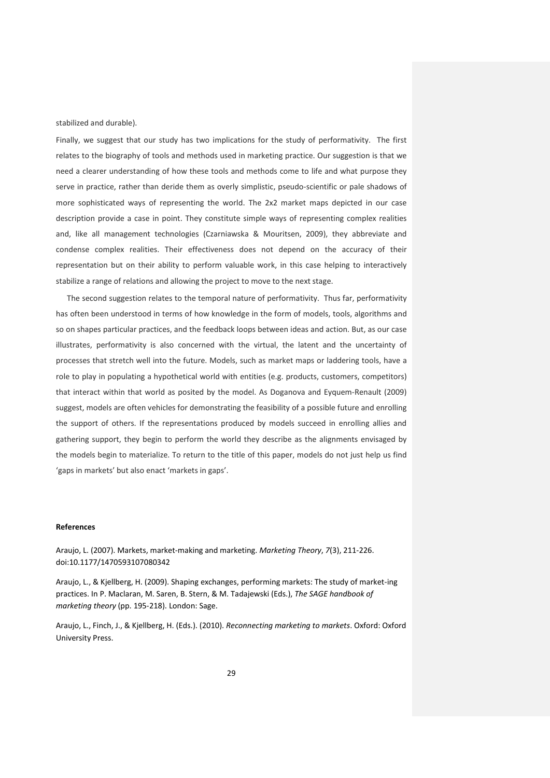stabilized and durable).

Finally, we suggest that our study has two implications for the study of performativity. The first relates to the biography of tools and methods used in marketing practice. Our suggestion is that we need a clearer understanding of how these tools and methods come to life and what purpose they serve in practice, rather than deride them as overly simplistic, pseudo-scientific or pale shadows of more sophisticated ways of representing the world. The 2x2 market maps depicted in our case description provide a case in point. They constitute simple ways of representing complex realities and, like all management technologies (Czarniawska & Mouritsen, 2009), they abbreviate and condense complex realities. Their effectiveness does not depend on the accuracy of their representation but on their ability to perform valuable work, in this case helping to interactively stabilize a range of relations and allowing the project to move to the next stage.

The second suggestion relates to the temporal nature of performativity. Thus far, performativity has often been understood in terms of how knowledge in the form of models, tools, algorithms and so on shapes particular practices, and the feedback loops between ideas and action. But, as our case illustrates, performativity is also concerned with the virtual, the latent and the uncertainty of processes that stretch well into the future. Models, such as market maps or laddering tools, have a role to play in populating a hypothetical world with entities (e.g. products, customers, competitors) that interact within that world as posited by the model. As Doganova and Eyquem-Renault (2009) suggest, models are often vehicles for demonstrating the feasibility of a possible future and enrolling the support of others. If the representations produced by models succeed in enrolling allies and gathering support, they begin to perform the world they describe as the alignments envisaged by the models begin to materialize. To return to the title of this paper, models do not just help us find 'gaps in markets' but also enact 'markets in gaps'.

#### **References**

Araujo, L. (2007). Markets, market-making and marketing. *Marketing Theory*, *7*(3), 211-226. doi:10.1177/1470593107080342

Araujo, L., & Kjellberg, H. (2009). Shaping exchanges, performing markets: The study of market-ing practices. In P. Maclaran, M. Saren, B. Stern, & M. Tadajewski (Eds.), *The SAGE handbook of marketing theory* (pp. 195-218). London: Sage.

Araujo, L., Finch, J., & Kjellberg, H. (Eds.). (2010). *Reconnecting marketing to markets*. Oxford: Oxford University Press.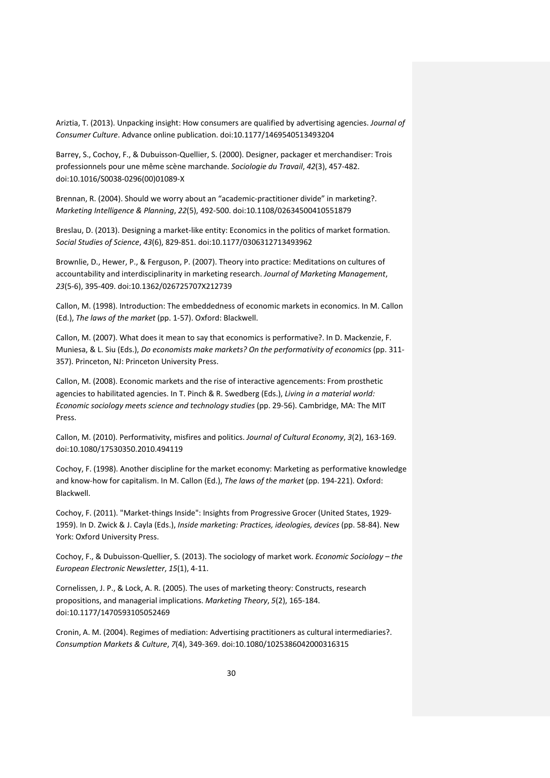Ariztia, T. (2013). Unpacking insight: How consumers are qualified by advertising agencies. *Journal of Consumer Culture*. Advance online publication. doi:10.1177/1469540513493204

Barrey, S., Cochoy, F., & Dubuisson-Quellier, S. (2000). Designer, packager et merchandiser: Trois professionnels pour une même scène marchande. *Sociologie du Travail*, *42*(3), 457-482. doi:10.1016/S0038-0296(00)01089-X

Brennan, R. (2004). Should we worry about an "academic-practitioner divide" in marketing?. *Marketing Intelligence & Planning*, *22*(5), 492-500. doi:10.1108/02634500410551879

Breslau, D. (2013). Designing a market-like entity: Economics in the politics of market formation. *Social Studies of Science*, *43*(6), 829-851. doi:10.1177/0306312713493962

Brownlie, D., Hewer, P., & Ferguson, P. (2007). Theory into practice: Meditations on cultures of accountability and interdisciplinarity in marketing research. *Journal of Marketing Management*, *23*(5-6), 395-409. doi:10.1362/026725707X212739

Callon, M. (1998). Introduction: The embeddedness of economic markets in economics. In M. Callon (Ed.), *The laws of the market* (pp. 1-57). Oxford: Blackwell.

Callon, M. (2007). What does it mean to say that economics is performative?. In D. Mackenzie, F. Muniesa, & L. Siu (Eds.), *Do economists make markets? On the performativity of economics* (pp. 311- 357). Princeton, NJ: Princeton University Press.

Callon, M. (2008). Economic markets and the rise of interactive agencements: From prosthetic agencies to habilitated agencies. In T. Pinch & R. Swedberg (Eds.), *Living in a material world: Economic sociology meets science and technology studies* (pp. 29-56). Cambridge, MA: The MIT Press.

Callon, M. (2010). Performativity, misfires and politics. *Journal of Cultural Economy*, *3*(2), 163-169. doi:10.1080/17530350.2010.494119

Cochoy, F. (1998). Another discipline for the market economy: Marketing as performative knowledge and know-how for capitalism. In M. Callon (Ed.), *The laws of the market* (pp. 194-221). Oxford: Blackwell.

Cochoy, F. (2011). "Market-things Inside": Insights from Progressive Grocer (United States, 1929- 1959). In D. Zwick & J. Cayla (Eds.), *Inside marketing: Practices, ideologies, devices* (pp. 58-84). New York: Oxford University Press.

Cochoy, F., & Dubuisson-Quellier, S. (2013). The sociology of market work. *Economic Sociology – the European Electronic Newsletter*, *15*(1), 4-11.

Cornelissen, J. P., & Lock, A. R. (2005). The uses of marketing theory: Constructs, research propositions, and managerial implications. *Marketing Theory*, *5*(2), 165-184. doi:10.1177/1470593105052469

Cronin, A. M. (2004). Regimes of mediation: Advertising practitioners as cultural intermediaries?. *Consumption Markets & Culture*, *7*(4), 349-369. doi:10.1080/1025386042000316315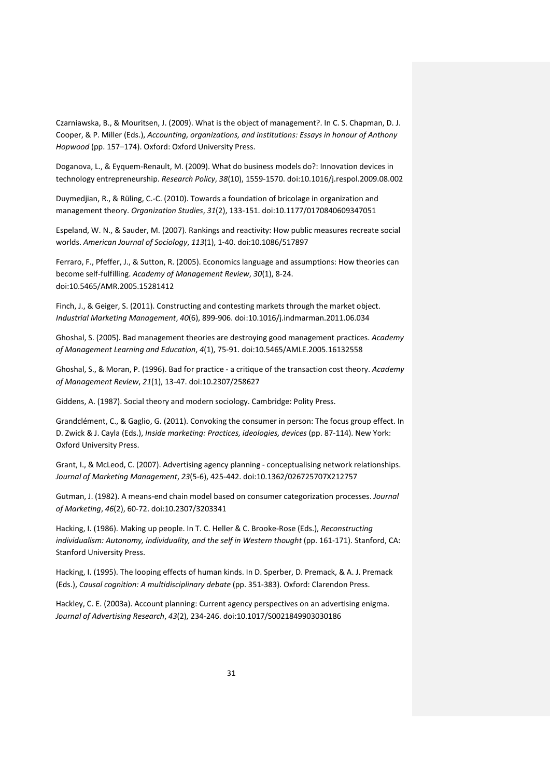Czarniawska, B., & Mouritsen, J. (2009). What is the object of management?. In C. S. Chapman, D. J. Cooper, & P. Miller (Eds.), *Accounting, organizations, and institutions: Essays in honour of Anthony Hopwood* (pp. 157–174). Oxford: Oxford University Press.

Doganova, L., & Eyquem-Renault, M. (2009). What do business models do?: Innovation devices in technology entrepreneurship. *Research Policy*, *38*(10), 1559-1570. doi:10.1016/j.respol.2009.08.002

Duymedjian, R., & Rüling, C.-C. (2010). Towards a foundation of bricolage in organization and management theory. *Organization Studies*, *31*(2), 133-151. doi:10.1177/0170840609347051

Espeland, W. N., & Sauder, M. (2007). Rankings and reactivity: How public measures recreate social worlds. *American Journal of Sociology*, *113*(1), 1-40. doi:10.1086/517897

Ferraro, F., Pfeffer, J., & Sutton, R. (2005). Economics language and assumptions: How theories can become self-fulfilling. *Academy of Management Review*, *30*(1), 8-24. doi:10.5465/AMR.2005.15281412

Finch, J., & Geiger, S. (2011). Constructing and contesting markets through the market object. *Industrial Marketing Management*, *40*(6), 899-906. doi:10.1016/j.indmarman.2011.06.034

Ghoshal, S. (2005). Bad management theories are destroying good management practices. *Academy of Management Learning and Education*, *4*(1), 75-91. doi:10.5465/AMLE.2005.16132558

Ghoshal, S., & Moran, P. (1996). Bad for practice - a critique of the transaction cost theory. *Academy of Management Review*, *21*(1), 13-47. doi:10.2307/258627

Giddens, A. (1987). Social theory and modern sociology. Cambridge: Polity Press.

Grandclément, C., & Gaglio, G. (2011). Convoking the consumer in person: The focus group effect. In D. Zwick & J. Cayla (Eds.), *Inside marketing: Practices, ideologies, devices* (pp. 87-114). New York: Oxford University Press.

Grant, I., & McLeod, C. (2007). Advertising agency planning - conceptualising network relationships. *Journal of Marketing Management*, *23*(5-6), 425-442. doi:10.1362/026725707X212757

Gutman, J. (1982). A means-end chain model based on consumer categorization processes. *Journal of Marketing*, *46*(2), 60-72. doi:10.2307/3203341

Hacking, I. (1986). Making up people. In T. C. Heller & C. Brooke-Rose (Eds.), *Reconstructing individualism: Autonomy, individuality, and the self in Western thought* (pp. 161-171). Stanford, CA: Stanford University Press.

Hacking, I. (1995). The looping effects of human kinds. In D. Sperber, D. Premack, & A. J. Premack (Eds.), *Causal cognition: A multidisciplinary debate* (pp. 351-383). Oxford: Clarendon Press.

Hackley, C. E. (2003a). Account planning: Current agency perspectives on an advertising enigma. *Journal of Advertising Research*, *43*(2), 234-246. doi:10.1017/S0021849903030186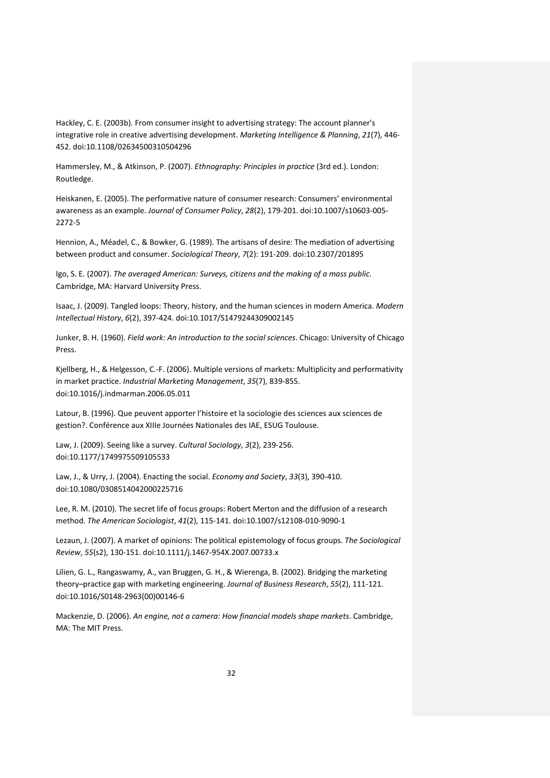Hackley, C. E. (2003b). From consumer insight to advertising strategy: The account planner's integrative role in creative advertising development. *Marketing Intelligence & Planning*, *21*(7), 446- 452. doi:10.1108/02634500310504296

Hammersley, M., & Atkinson, P. (2007). *Ethnography: Principles in practice* (3rd ed.). London: Routledge.

Heiskanen, E. (2005). The performative nature of consumer research: Consumers' environmental awareness as an example. *Journal of Consumer Policy*, *28*(2), 179-201. doi:10.1007/s10603-005- 2272-5

Hennion, A., Méadel, C., & Bowker, G. (1989). The artisans of desire: The mediation of advertising between product and consumer. *Sociological Theory*, *7*(2): 191-209. doi:10.2307/201895

Igo, S. E. (2007). *The averaged American: Surveys, citizens and the making of a mass public*. Cambridge, MA: Harvard University Press.

Isaac, J. (2009). Tangled loops: Theory, history, and the human sciences in modern America. *Modern Intellectual History*, *6*(2), 397-424. doi:10.1017/S1479244309002145

Junker, B. H. (1960). *Field work: An introduction to the social sciences*. Chicago: University of Chicago Press.

Kjellberg, H., & Helgesson, C.-F. (2006). Multiple versions of markets: Multiplicity and performativity in market practice. *Industrial Marketing Management*, *35*(7), 839-855. doi:10.1016/j.indmarman.2006.05.011

Latour, B. (1996). Que peuvent apporter l'histoire et la sociologie des sciences aux sciences de gestion?. Conférence aux XIIIe Journées Nationales des IAE, ESUG Toulouse.

Law, J. (2009). Seeing like a survey. *Cultural Sociology*, *3*(2), 239-256. doi:10.1177/1749975509105533

Law, J., & Urry, J. (2004). Enacting the social. *Economy and Society*, *33*(3), 390-410. doi:10.1080/0308514042000225716

Lee, R. M. (2010). The secret life of focus groups: Robert Merton and the diffusion of a research method. *The American Sociologist*, *41*(2), 115-141. doi:10.1007/s12108-010-9090-1

Lezaun, J. (2007). A market of opinions: The political epistemology of focus groups. *The Sociological Review*, *55*(s2), 130-151. doi:10.1111/j.1467-954X.2007.00733.x

Lilien, G. L., Rangaswamy, A., van Bruggen, G. H., & Wierenga, B. (2002). Bridging the marketing theory–practice gap with marketing engineering. *Journal of Business Research*, *55*(2), 111-121. doi:10.1016/S0148-2963(00)00146-6

Mackenzie, D. (2006). *An engine, not a camera: How financial models shape markets*. Cambridge, MA: The MIT Press.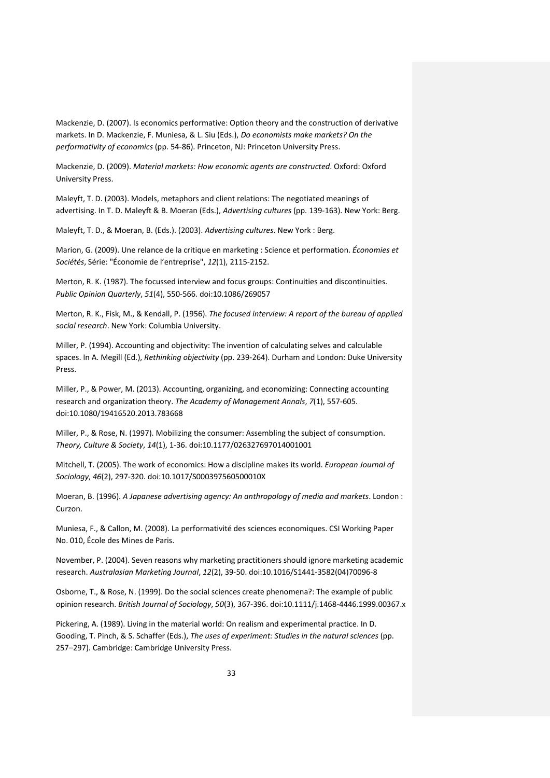Mackenzie, D. (2007). Is economics performative: Option theory and the construction of derivative markets. In D. Mackenzie, F. Muniesa, & L. Siu (Eds.), *Do economists make markets? On the performativity of economics* (pp. 54-86). Princeton, NJ: Princeton University Press.

Mackenzie, D. (2009). *Material markets: How economic agents are constructed*. Oxford: Oxford University Press.

Maleyft, T. D. (2003). Models, metaphors and client relations: The negotiated meanings of advertising. In T. D. Maleyft & B. Moeran (Eds.), *Advertising cultures* (pp. 139-163). New York: Berg.

Maleyft, T. D., & Moeran, B. (Eds.). (2003). *Advertising cultures*. New York : Berg.

Marion, G. (2009). Une relance de la critique en marketing : Science et performation. *Économies et Sociétés*, Série: "Économie de l'entreprise", *12*(1), 2115-2152.

Merton, R. K. (1987). The focussed interview and focus groups: Continuities and discontinuities. *Public Opinion Quarterly*, *51*(4), 550-566. doi:10.1086/269057

Merton, R. K., Fisk, M., & Kendall, P. (1956). *The focused interview: A report of the bureau of applied social research*. New York: Columbia University.

Miller, P. (1994). Accounting and objectivity: The invention of calculating selves and calculable spaces. In A. Megill (Ed.), *Rethinking objectivity* (pp. 239-264). Durham and London: Duke University Press.

Miller, P., & Power, M. (2013). Accounting, organizing, and economizing: Connecting accounting research and organization theory. *The Academy of Management Annals*, *7*(1), 557-605. doi:10.1080/19416520.2013.783668

Miller, P., & Rose, N. (1997). Mobilizing the consumer: Assembling the subject of consumption. *Theory, Culture & Society*, *14*(1), 1-36. doi:10.1177/026327697014001001

Mitchell, T. (2005). The work of economics: How a discipline makes its world. *European Journal of Sociology*, *46*(2), 297-320. doi:10.1017/S000397560500010X

Moeran, B. (1996). *A Japanese advertising agency: An anthropology of media and markets*. London : Curzon.

Muniesa, F., & Callon, M. (2008). La performativité des sciences economiques. CSI Working Paper No. 010, École des Mines de Paris.

November, P. (2004). Seven reasons why marketing practitioners should ignore marketing academic research. *Australasian Marketing Journal*, *12*(2), 39-50. doi:10.1016/S1441-3582(04)70096-8

Osborne, T., & Rose, N. (1999). Do the social sciences create phenomena?: The example of public opinion research. *British Journal of Sociology*, *50*(3), 367-396. doi:10.1111/j.1468-4446.1999.00367.x

Pickering, A. (1989). Living in the material world: On realism and experimental practice. In D. Gooding, T. Pinch, & S. Schaffer (Eds.), *The uses of experiment: Studies in the natural sciences* (pp. 257–297). Cambridge: Cambridge University Press.